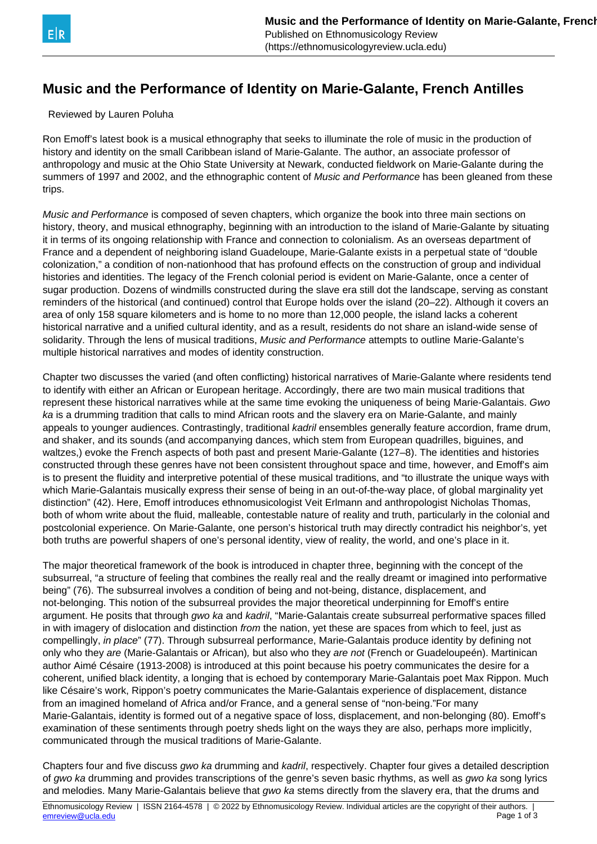## **Music and the Performance of Identity on Marie-Galante, French Antilles**

Reviewed by Lauren Poluha

Ron Emoff's latest book is a musical ethnography that seeks to illuminate the role of music in the production of history and identity on the small Caribbean island of Marie-Galante. The author, an associate professor of anthropology and music at the Ohio State University at Newark, conducted fieldwork on Marie-Galante during the summers of 1997 and 2002, and the ethnographic content of Music and Performance has been gleaned from these trips.

Music and Performance is composed of seven chapters, which organize the book into three main sections on history, theory, and musical ethnography, beginning with an introduction to the island of Marie-Galante by situating it in terms of its ongoing relationship with France and connection to colonialism. As an overseas department of France and a dependent of neighboring island Guadeloupe, Marie-Galante exists in a perpetual state of "double colonization," a condition of non-nationhood that has profound effects on the construction of group and individual histories and identities. The legacy of the French colonial period is evident on Marie-Galante, once a center of sugar production. Dozens of windmills constructed during the slave era still dot the landscape, serving as constant reminders of the historical (and continued) control that Europe holds over the island (20–22). Although it covers an area of only 158 square kilometers and is home to no more than 12,000 people, the island lacks a coherent historical narrative and a unified cultural identity, and as a result, residents do not share an island-wide sense of solidarity. Through the lens of musical traditions, Music and Performance attempts to outline Marie-Galante's multiple historical narratives and modes of identity construction.

Chapter two discusses the varied (and often conflicting) historical narratives of Marie-Galante where residents tend to identify with either an African or European heritage. Accordingly, there are two main musical traditions that represent these historical narratives while at the same time evoking the uniqueness of being Marie-Galantais. Gwo ka is a drumming tradition that calls to mind African roots and the slavery era on Marie-Galante, and mainly appeals to younger audiences. Contrastingly, traditional kadril ensembles generally feature accordion, frame drum, and shaker, and its sounds (and accompanying dances, which stem from European quadrilles, biguines, and waltzes,) evoke the French aspects of both past and present Marie-Galante (127–8). The identities and histories constructed through these genres have not been consistent throughout space and time, however, and Emoff's aim is to present the fluidity and interpretive potential of these musical traditions, and "to illustrate the unique ways with which Marie-Galantais musically express their sense of being in an out-of-the-way place, of global marginality yet distinction" (42). Here, Emoff introduces ethnomusicologist Veit Erlmann and anthropologist Nicholas Thomas, both of whom write about the fluid, malleable, contestable nature of reality and truth, particularly in the colonial and postcolonial experience. On Marie-Galante, one person's historical truth may directly contradict his neighbor's, yet both truths are powerful shapers of one's personal identity, view of reality, the world, and one's place in it.

The major theoretical framework of the book is introduced in chapter three, beginning with the concept of the subsurreal, "a structure of feeling that combines the really real and the really dreamt or imagined into performative being" (76). The subsurreal involves a condition of being and not-being, distance, displacement, and not-belonging. This notion of the subsurreal provides the major theoretical underpinning for Emoff's entire argument. He posits that through *gwo ka* and *kadril*, "Marie-Galantais create subsurreal performative spaces filled in with imagery of dislocation and distinction from the nation, yet these are spaces from which to feel, just as compellingly, in place" (77). Through subsurreal performance, Marie-Galantais produce identity by defining not only who they are (Marie-Galantais or African), but also who they are not (French or Guadeloupeén). Martinican author Aimé Césaire (1913-2008) is introduced at this point because his poetry communicates the desire for a coherent, unified black identity, a longing that is echoed by contemporary Marie-Galantais poet Max Rippon. Much like Césaire's work, Rippon's poetry communicates the Marie-Galantais experience of displacement, distance from an imagined homeland of Africa and/or France, and a general sense of "non-being."For many Marie-Galantais, identity is formed out of a negative space of loss, displacement, and non-belonging (80). Emoff's examination of these sentiments through poetry sheds light on the ways they are also, perhaps more implicitly, communicated through the musical traditions of Marie-Galante.

Chapters four and five discuss gwo ka drumming and kadril, respectively. Chapter four gives a detailed description of gwo ka drumming and provides transcriptions of the genre's seven basic rhythms, as well as gwo ka song lyrics and melodies. Many Marie-Galantais believe that gwo ka stems directly from the slavery era, that the drums and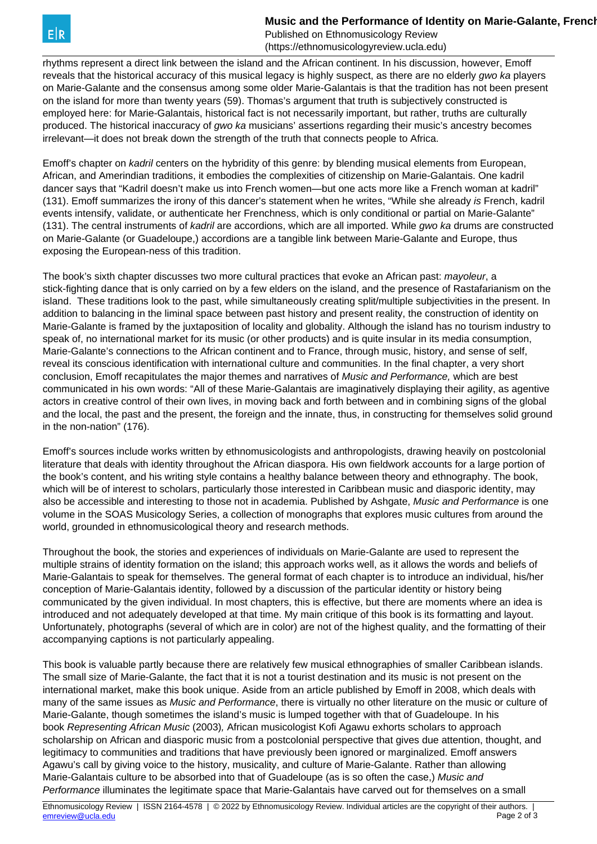**Music and the Performance of Identity on Marie-Galante, French** 

Published on Ethnomusicology Review (https://ethnomusicologyreview.ucla.edu)

rhythms represent a direct link between the island and the African continent. In his discussion, however, Emoff reveals that the historical accuracy of this musical legacy is highly suspect, as there are no elderly gwo ka players on Marie-Galante and the consensus among some older Marie-Galantais is that the tradition has not been present on the island for more than twenty years (59). Thomas's argument that truth is subjectively constructed is employed here: for Marie-Galantais, historical fact is not necessarily important, but rather, truths are culturally produced. The historical inaccuracy of gwo ka musicians' assertions regarding their music's ancestry becomes irrelevant—it does not break down the strength of the truth that connects people to Africa.

Emoff's chapter on kadril centers on the hybridity of this genre: by blending musical elements from European, African, and Amerindian traditions, it embodies the complexities of citizenship on Marie-Galantais. One kadril dancer says that "Kadril doesn't make us into French women—but one acts more like a French woman at kadril" (131). Emoff summarizes the irony of this dancer's statement when he writes, "While she already is French, kadril events intensify, validate, or authenticate her Frenchness, which is only conditional or partial on Marie-Galante" (131). The central instruments of kadril are accordions, which are all imported. While gwo ka drums are constructed on Marie-Galante (or Guadeloupe,) accordions are a tangible link between Marie-Galante and Europe, thus exposing the European-ness of this tradition.

The book's sixth chapter discusses two more cultural practices that evoke an African past: mayoleur, a stick-fighting dance that is only carried on by a few elders on the island, and the presence of Rastafarianism on the island. These traditions look to the past, while simultaneously creating split/multiple subjectivities in the present. In addition to balancing in the liminal space between past history and present reality, the construction of identity on Marie-Galante is framed by the juxtaposition of locality and globality. Although the island has no tourism industry to speak of, no international market for its music (or other products) and is quite insular in its media consumption, Marie-Galante's connections to the African continent and to France, through music, history, and sense of self, reveal its conscious identification with international culture and communities. In the final chapter, a very short conclusion, Emoff recapitulates the major themes and narratives of Music and Performance, which are best communicated in his own words: "All of these Marie-Galantais are imaginatively displaying their agility, as agentive actors in creative control of their own lives, in moving back and forth between and in combining signs of the global and the local, the past and the present, the foreign and the innate, thus, in constructing for themselves solid ground in the non-nation" (176).

Emoff's sources include works written by ethnomusicologists and anthropologists, drawing heavily on postcolonial literature that deals with identity throughout the African diaspora. His own fieldwork accounts for a large portion of the book's content, and his writing style contains a healthy balance between theory and ethnography. The book, which will be of interest to scholars, particularly those interested in Caribbean music and diasporic identity, may also be accessible and interesting to those not in academia. Published by Ashgate, Music and Performance is one volume in the SOAS Musicology Series, a collection of monographs that explores music cultures from around the world, grounded in ethnomusicological theory and research methods.

Throughout the book, the stories and experiences of individuals on Marie-Galante are used to represent the multiple strains of identity formation on the island; this approach works well, as it allows the words and beliefs of Marie-Galantais to speak for themselves. The general format of each chapter is to introduce an individual, his/her conception of Marie-Galantais identity, followed by a discussion of the particular identity or history being communicated by the given individual. In most chapters, this is effective, but there are moments where an idea is introduced and not adequately developed at that time. My main critique of this book is its formatting and layout. Unfortunately, photographs (several of which are in color) are not of the highest quality, and the formatting of their accompanying captions is not particularly appealing.

This book is valuable partly because there are relatively few musical ethnographies of smaller Caribbean islands. The small size of Marie-Galante, the fact that it is not a tourist destination and its music is not present on the international market, make this book unique. Aside from an article published by Emoff in 2008, which deals with many of the same issues as Music and Performance, there is virtually no other literature on the music or culture of Marie-Galante, though sometimes the island's music is lumped together with that of Guadeloupe. In his book Representing African Music (2003), African musicologist Kofi Agawu exhorts scholars to approach scholarship on African and diasporic music from a postcolonial perspective that gives due attention, thought, and legitimacy to communities and traditions that have previously been ignored or marginalized. Emoff answers Agawu's call by giving voice to the history, musicality, and culture of Marie-Galante. Rather than allowing Marie-Galantais culture to be absorbed into that of Guadeloupe (as is so often the case,) Music and Performance illuminates the legitimate space that Marie-Galantais have carved out for themselves on a small